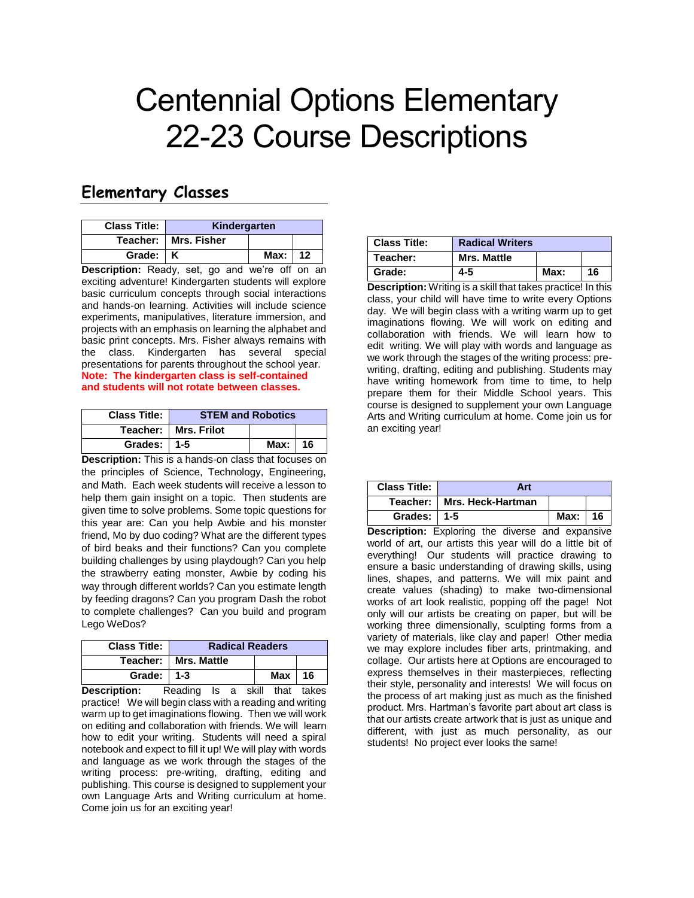## Centennial Options Elementary 22-23 Course Descriptions

## **Elementary Classes**

| <b>Class Title:</b> | Kindergarten           |      |    |
|---------------------|------------------------|------|----|
|                     | Teacher:   Mrs. Fisher |      |    |
| Grade: K            |                        | Max: | 12 |

**Description:** Ready, set, go and we're off on an exciting adventure! Kindergarten students will explore basic curriculum concepts through social interactions and hands-on learning. Activities will include science experiments, manipulatives, literature immersion, and projects with an emphasis on learning the alphabet and basic print concepts. Mrs. Fisher always remains with the class. Kindergarten has several special presentations for parents throughout the school year. **Note: The kindergarten class is self-contained and students will not rotate between classes.**

| <b>Class Title:</b> | <b>STEM and Robotics</b> |      |      |
|---------------------|--------------------------|------|------|
|                     | Teacher:   Mrs. Frilot   |      |      |
| Grades: $\vert$ 1-5 |                          | Max: | l 16 |

**Description:** This is a hands-on class that focuses on the principles of Science, Technology, Engineering, and Math. Each week students will receive a lesson to help them gain insight on a topic. Then students are given time to solve problems. Some topic questions for this year are: Can you help Awbie and his monster friend, Mo by duo coding? What are the different types of bird beaks and their functions? Can you complete building challenges by using playdough? Can you help the strawberry eating monster, Awbie by coding his way through different worlds? Can you estimate length by feeding dragons? Can you program Dash the robot to complete challenges? Can you build and program Lego WeDos?

| <b>Class Title:</b>           | <b>Radical Readers</b> |     |      |
|-------------------------------|------------------------|-----|------|
|                               | Teacher:   Mrs. Mattle |     |      |
| Grade: $1\overline{1\cdot 3}$ |                        | Max | - 16 |

**Description:** Reading Is a skill that takes practice! We will begin class with a reading and writing warm up to get imaginations flowing. Then we will work on editing and collaboration with friends. We will learn how to edit your writing. Students will need a spiral notebook and expect to fill it up! We will play with words and language as we work through the stages of the writing process: pre-writing, drafting, editing and publishing. This course is designed to supplement your own Language Arts and Writing curriculum at home. Come join us for an exciting year!

| <b>Class Title:</b> | <b>Radical Writers</b> |      |    |
|---------------------|------------------------|------|----|
| Teacher:            | <b>Mrs. Mattle</b>     |      |    |
| Grade:              | 4-5                    | Max: | 16 |

**Description:** Writing is a skill that takes practice! In this class, your child will have time to write every Options day. We will begin class with a writing warm up to get imaginations flowing. We will work on editing and collaboration with friends. We will learn how to edit writing. We will play with words and language as we work through the stages of the writing process: prewriting, drafting, editing and publishing. Students may have writing homework from time to time, to help prepare them for their Middle School years. This course is designed to supplement your own Language Arts and Writing curriculum at home. Come join us for an exciting year!

| <b>Class Title:</b> | Art                          |      |    |
|---------------------|------------------------------|------|----|
|                     | Teacher:   Mrs. Heck-Hartman |      |    |
| Grades: 1-5         |                              | Max: | 16 |

**Description:** Exploring the diverse and expansive world of art, our artists this year will do a little bit of everything! Our students will practice drawing to ensure a basic understanding of drawing skills, using lines, shapes, and patterns. We will mix paint and create values (shading) to make two-dimensional works of art look realistic, popping off the page! Not only will our artists be creating on paper, but will be working three dimensionally, sculpting forms from a variety of materials, like clay and paper! Other media we may explore includes fiber arts, printmaking, and collage. Our artists here at Options are encouraged to express themselves in their masterpieces, reflecting their style, personality and interests! We will focus on the process of art making just as much as the finished product. Mrs. Hartman's favorite part about art class is that our artists create artwork that is just as unique and different, with just as much personality, as our students! No project ever looks the same!